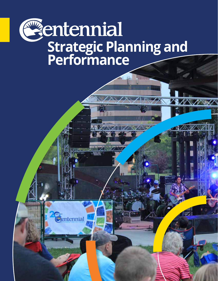# Centennial **Strategic Planning and Performance**

Centennial

 $\triangle$  //  $\vee$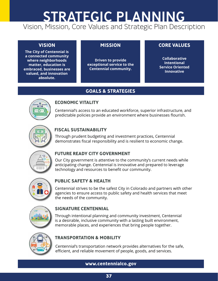## Vision, Mission, Core Values and Strategic Plan Description STRATEGIC PLANNING

**The City of Centennial is a connected community where neighborhoods matter, education is embraced, businesses are valued, and innovation absolute.** 

**Driven to provide exceptional service to the Centennial community.**

### **VISION MISSION CORE VALUES**

**Collaborative Intentional Service Oriented Innovative**

### **GOALS & STRATEGIES**



#### **ECONOMIC VITALITY**

Centennial's access to an educated workforce, superior infrastructure, and predictable policies provide an environment where businesses flourish.



### **FISCAL SUSTAINABILITY**

Through prudent budgeting and investment practices, Centennial demonstrates fiscal responsibility and is resilient to economic change.



### **FUTURE READY CITY GOVERNMENT**

Our City government is attentive to the community's current needs while anticipating change. Centennial is innovative and prepared to leverage technology and resources to benefit our community.



### **PUBLIC SAFETY & HEALTH**

Centennial strives to be the safest City in Colorado and partners with other agencies to ensure access to public safety and health services that meet the needs of the community.



### **SIGNATURE CENTENNIAL**

Through intentional planning and community investment, Centennial is a desirable, inclusive community with a lasting built environment, memorable places, and experiences that bring people together.



### **TRANSPORTATION & MOBILITY**

Centennial's transportation network provides alternatives for the safe, efficient, and reliable movement of people, goods, and services.

**www.centennialco.gov**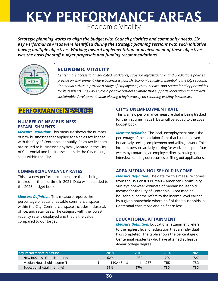#### Economic Vitality KEY PERFORMANCE AREAS **where neighborhoods matter, education is embraced, businesses are exceptional service to the Centennial community.**

**GOALS & STRATEGIES** *was the basis for staff budget proposals and funding recommendations.Strategic planning works to align the budget with Council priorities and community needs. Six Key Performance Areas were identified during the strategic planning sessions with each initiative having multiple objectives. Working toward implementation or achievement of these objectives* 



## **ECONOMIC VITALITY ECONOMIC VITALITY**

provide an environment where businesses flourish. Economic vitality is essential to the City's success. Centennial strives to provide a range of employment, retail, service, and recreational opportunities<br>for its residents. The City enjoys a nesitive business climate that sunnerts innevation and attracts *Centennial's access to an educated workforce, superior infrastructure, and predictable policies for its residents. The City enjoys a positive business climate that supports innovation and attracts sustainable development while placing a high priority on retaining existing businesses.*

## **PERFORMANCE MEASURES**

#### **NUMBER OF NEW BUSINESS ESTABLISHMENTS**

*Measure Definition:* This measure shows the number of new businesses that applied for a sales tax license with the City of Centennial annually. Sales tax licenses but actively seeking employme<br>are issued to businesses physically located in the City and the Lindon with the Lindon are issued to businesses physically located in the City of Centennial and businesses outside the City making sales within the City.

#### **COMMERCIAL VACANCY RATES**

This is a new performance measure that is being tracked for the first time in 2021. Data will be added to from the US<br>Suncer's and the 2023 budget book.

*Measure Definition:* This measure reports the percentage of vacant, leasable commercial space within the City. Commercial space includes industrial,  $\qquad$  Centennia office, and retail uses. The category with the lowest vacancy rate is displayed and that is the value compared to our target.

#### **CITY'S UNEMPLOYMENT RATE**

This is a new performance measure that is being tracked For the first time in 2021. Data will be added to the 2023 budget book. demonstrates fields fiscal responsibility and is responsibility and is responsible to experience the change of  $\mathbb{R}$  and  $\mathbb{R}$  are specified to experience the change of  $\mathbb{R}$  and  $\mathbb{R}$  are specified to experien

*Measure Definition:* The local unemployment rate is the percentage of the total labor force that is unemployed but actively seeking employment and willing to work. This includes persons actively looking for work in the prior four nesses outside the City making weeks by contacting an employer directly, having a job interview, sending out resumes or filling out applications.

#### **AREA MEDIAN HOUSEHOLD INCOME**

*Measure Definition:* The data for this measure comes from the US Census Bureau – American Community Survey's one-year estimate of median household income for the City of Centennial. Area median household income refers to the income level earned Centennial strives to be the safest City in Colorado and partners with other b measare reports the line of the services to publish that measable commercial space in and by a given household where half of the households in and  $\alpha$ Centennial earn more and half earn less.

#### **EDUCATIONAL ATTAINMENT**

**EDUCATIONAL ATTAINMENT**<br> **SIGNATURE CENTENNIAL**<br> **SIGNATURE CONTENTINIAL** to the highest level of education that an individual to the ingliest fever or education that an individual<br>has completed. The table shows the percentage of Centennial residents who have attained at least a 4-year college degree. a-year college degree.

| <b>Key Performance Measure</b> | 2018    | 2019    | 2020 | 2021 |
|--------------------------------|---------|---------|------|------|
| New Business Establishments    | 629     | 1082    | 700  | 727  |
| Median Household Income (\$)   | 110.443 | 111.257 | TBD  | TBD  |
| Educational Attainment (%)     | 61%     | 57%     | TBD  | TBD  |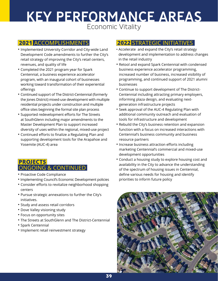## KEY PERFORMANCE AREAS Economic Vitality

## **2021** ACCOMPLISHMENTS

- Implemented University Corridor and City-wide Land Development Code amendments to further the City's retail strategy of improving the City's retail centers, revenues, and quality of life
- Completed the 2021 program year for Spark Centennial, a business experience accelerator program, with an inaugural cohort of businesses working toward transformation of their experiential offerings
- Continued support of The District-Centennial (formerly the Jones District) mixed-use development with multiple residential projects under construction and multiple office sites beginning the formal site plan process
- Supported redevelopment efforts for The Streets at SouthGlenn including major amendments to the Master Development Plan to support increased diversity of uses within the regional, mixed-use project
- Continued efforts to finalize a Regulating Plan and supporting development tools for the Arapahoe and Yosemite (AUC-4) area

## PROJECTS<br>ONGOING & CONTINUED

- Proactive Code Compliance
- Implementing Council's Economic Development policies
- Consider efforts to revitalize neighborhood shopping centers
- Pursue strategic annexations to further the City's initiatives.
- Study and assess retail corridors
- Dove Valley visioning study
- Focus on opportunity sites
- The Streets at SouthGlenn and The District-Centennial
- Spark Centennial
- Implement retail reinvestment strategy

- Accelerate and expand the City's retail strategy development and implementation to address changes in the retail industry
- Retool and expand Spark Centennial with condensed business experience accelerator programming, increased number of business, increased visibility of programming, and continued support of 2021 alumni businesses
- Continue to support development of The District-Centennial including attracting primary employers, informing plaza design, and evaluating nextgeneration infrastructure projects
- Seek approval of the AUC-4 Regulating Plan with additional community outreach and evaluation of tools for infrastructure and development
- Rebuild the City's business retention and expansion function with a focus on increased interactions with Centennial's business community and business resource partners
- Increase business attraction efforts including marketing Centennial's commercial and mixed-use development opportunities
- Conduct a housing study to explore housing cost and availability in the City to advance the understanding of the spectrum of housing issues in Centennial, define various needs for housing and identify priorities to inform future policy

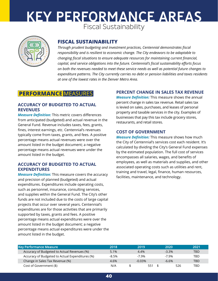## Fiscal Sustainability KEY PERFORMANCE AREAS predictable policies provide an environment where businesses flourish.



## **FISCAL SUSTAINABILITY FISCAL SUSTAINABILITY**

expenature patterns. The City currently carries no aebt or pension in<br>at one of the lowest rates in the Denver Metro Area. responsibility and is resilient to economic change. The City endeavors to be adaptable to changing fiscal situations to ensure adequate resources for maintaining current financial, *Through prudent budgeting and investment practices, Centennial demonstrates fiscal capital, and service obligations into the future. Centennial's fiscal sustainability efforts focus on both the revenues needed to meet these service needs as well as potential future changes to expenditure patterns. The City currently carries no debt or pension liabilities and taxes residents* 

#### **ACCURACY OF BUDGETED TO ACTUAL REVENUES**

**Measure Definition:** This metric covers differences businesses the symphotograph of the symphotograph of the symphotograph of the symphotograph of the symphotograph of the symphotograph of the symphotograph of the symphot from anticipated (budgeted) and actual revenue in the General Fund. Revenue includes taxes, fees, grants, fines, interest earnings, etc. Centennial's revenues typically come from taxes, grants, and fees. A positive **COST OF GOVERNMENT** percentage means actual revenues were over the the city of the community. amount listed in the budget document; a negative percentage means actual revenues were under the amount listed in the budget. centencial strives to be the same to be the same of the same of the same partners with our partners with other<br>Lots Contennial's revenues

#### **ACCURACY OF BUDGETED TO ACTUAL EXPENDITURES**

*Measure Definition:* This measure covers the accuracy and precision of planned (budgeted) and actual memoral production person in the main experience of people to g expenditures. Expenditures include operating costs, such as personnel, insurance, consulting services, and supplies within the General Fund. The City's other and supplies within the defieral rand. The city's other<br>funds are not included due to the costs of large capital projects that occur over several years. Centennial's expenditures are for those activities that are primarily expenditures are for those activities for the safe of the safe  $\mu$ supported by taxes, grants and fees. A positive supported by taxes, grants and rees. A positive<br>percentage means actual expenditures were over the amount listed in the budget document; a negative percentage means actual expenditures were under the amount listed in the budget.

## **CE** MEASURES **EXECLES PERCENT CHANGE IN SALES TAX REVENUE**

*Measure Definition:* This measure shows the annual measure Definition: This measure shows the annu<br>percent change in sales tax revenue. Retail sales tax is levied on sales, purchases, and leases of personal property and taxable services in the city. Examples of businesses that pay this tax include grocery stores, restaurants, and retail stores.

#### **COST OF GOVERNMENT**

*Measure Definition:* This measure shows how much the City of Centennial's services cost each resident. It's calculated by dividing the City's General Fund expenses by the estimated population. The full cost of services encompasses all salaries, wages, and benefits of the test of the test of the test of the test of the test of the<br> **SIGNATURE CENTENCE POPERTIES** employees, as well as materials and supplies, and other **DGETED TO ACTUAL** associated operating costs such as utilities and rent, is measure covers the accuracy witraining and travel, legal, finance, human resources,<br>is measure covers the accuracy facilities, maintenance, and technology.

| Key Performance Measure                         | 2018     | 2019     | 2020     | 2021 |
|-------------------------------------------------|----------|----------|----------|------|
| Accuracy of Budgeted to Actual Revenues (%)     | 5.1%     | 4.4%     | $-3.3\%$ | TBD  |
| Accuracy of Budgeted to Actual Expenditures (%) | $-8.5\%$ | $-7.9\%$ | $-7.9%$  | TBD  |
| Change in Sales Tax Revenue (%)                 | 4.6%     | $-0.03%$ | $-6.6%$  | TBD  |
| Cost of Government (\$)                         | N/A      | 551      | 526      | TBD  |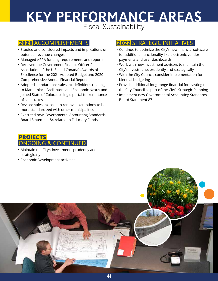## KEY PERFORMANCE AREAS Fiscal Sustainability

### **2021** ACCOMPLISHMENTS

- Studied and considered impacts and implications of potential revenue changes
- Managed ARPA funding requirements and reports
- Received the Government Finance Officers' Association of the U.S. and Canada's Awards of Excellence for the 2021 Adopted Budget and 2020 Comprehensive Annual Financial Report
- Adopted standardized sales tax definitions relating to Marketplace Facilitators and Economic Nexus and joined State of Colorado single portal for remittance of sales taxes
- Revised sales tax code to remove exemptions to be more standardized with other municipalities
- Executed new Governmental Accounting Standards Board Statement 84 related to Fiduciary Funds

### **PROJECTS** ONGOING & CONTINUED

- Maintain the City's investments prudently and strategically
- Economic Development activities

- Continue to optimize the City's new financial software for additional functionality like electronic vendor payments and user dashboards
- Work with new investment advisors to maintain the City's investments prudently and strategically
- With the City Council, consider implementation for biennial budgeting
- Provide additional long-range financial forecasting to the City Council as part of the City's Strategic Planning
- Implement new Governmental Accounting Standards Board Statement 87

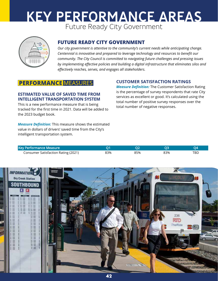#### KEY PERFORMANCE AREAS Future Ready City Government PFRFORMANCF ARFAS demonstrates fiscal responsibility and is responsibility and is responsibility and is responsibility and is responsibility and is responsibility and is responsibility and is responsibility and in the contract of the contra



## **FUTURE READY CITY GOVERNMENT FUTURE READY CITY GOVERNMENT**

Our City government is attentive to the community's current needs while *Our city government is attentive to the community's current needs while anticipating change.*  anticipating change. Centennial is innovative and prepared to leverage *community. The City Council is committed to navigating future challenges and pressing issues*  by implementing effective policies and building a digital infrastructure that eliminates silos and *Centennial is innovative and prepared to leverage technology and resources to benefit our effectively reaches, serves, and engages all stakeholders.*

## **PERFORMANCE MEASURES**

#### **ESTIMATED VALUE OF SAVED TIME FROM INTELLIGENT TRANSPORTATION SYSTEM**

This is a new performance measure that is being the coldinum tracked for the first time in 2021. Data will be added to the 2023 budget book.

#### **CUSTOMER SATISFACTION RATINGS**

*Measure Definition:* The Customer Satisfaction Rating is the percentage of survey respondents that rate City is the safety in Colorado and partners with our colorado and partners with our colorado and partners with our colorado and partners with our colorado and partners with **SEPTER THE FROM SECT AS A SERVICES AS EXCELLENT OF SAFETHIOUS SERVICES** as excellent or good. It's calculated using the total number of positive survey responses over the total number of negative responses.

*Measure Definition:* This measure shows the estimated value in dollars of drivers' saved time from the City's Through intentional planning and community investment, Centennial intelligent transportation system. **SIGNATURE CENTENNIAL** is a desirable, inclusive community with a last inclusive community with a last inclusive community with a last

| Key Performance Measure                    |     |     |     |     |
|--------------------------------------------|-----|-----|-----|-----|
| <b>Consumer Satisfaction Rating (2021)</b> | 33% | 85% | 83% | TBD |

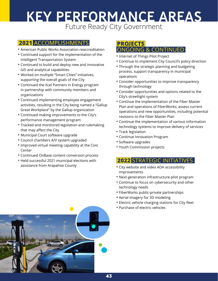# KEY PERFORMANCE AREAS

Future Ready City Government

## **2021** ACCOMPLISHMENTS

- American Public Works Association reaccreditation
- Continued support for the implementation of the Intelligent Transportation System
- Continued to build and deploy new and innovative GIS and analytical capabilities
- Worked on multiple "Smart Cities" initiatives, supporting the overall goals of the City
- Continued the Xcel Partners in Energy program in partnership with community members and organizations
- Continued implementing employee engagement activities, resulting in the City being named a "Gallup Great Workplace" by the Gallup organization
- Continued making improvements to the City's performance management program
- Tracked and monitored legislation and rulemaking that may affect the City
- Municipal Court software upgrade
- Council chambers A/V system upgraded
- Improved virtual meeting capability at the Civic **Center**
- Continued OnBase content conversion process
- Held successful 2021 municipal elections with assistance from Arapahoe County

## **PROJECTS** ONGOING & CONTINUED

- Internet of Things Pilot Project
- Continue to implement City Council's policy direction
- Through the strategic planning and budgeting process, support transparency in municipal operations
- Consider opportunities to improve transparency through technology
- Consider opportunities and options related to the City's streetlight system
- Continue the implementation of the Fiber Master Plan and operations of FiberWorks; assess current operations and new opportunities, including potential revisions to the Fiber Master Plan
- Continue the implementation of various information technology systems to improve delivery of services
- Track legislation
- Continue Innovation Program
- Software upgrades
- Youth Commission projects

- City website and video ADA accessibility improvements
- Next-generation infrastructure pilot program
- Continue to focus on cybersecurity and other technology needs
- FiberWorks public-private partnerships
- Aerial imagery for 3D modeling
- Electric vehicle charging stations for City fleet
- Purchase of electric vehicles

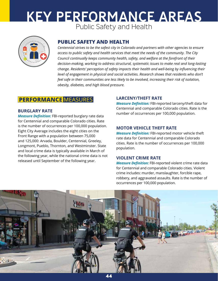### end the community of the community of the sources to be community. The community of the community of the community of  $\overline{a}$  and  $\overline{b}$  and Health KEY PERFORMANCE AREAS  $\blacksquare$   $\blacksquare$   $\blacksquare$   $\blacksquare$   $\blacksquare$   $\blacksquare$   $\blacksquare$   $\blacksquare$   $\blacksquare$   $\blacksquare$   $\blacksquare$   $\blacksquare$   $\blacksquare$   $\blacksquare$   $\blacksquare$   $\blacksquare$   $\blacksquare$   $\blacksquare$   $\blacksquare$   $\blacksquare$   $\blacksquare$   $\blacksquare$   $\blacksquare$   $\blacksquare$   $\blacksquare$   $\blacksquare$   $\blacksquare$   $\blacksquare$   $\blacksquare$   $\blacksquare$   $\blacksquare$   $\blacks$ PFRFORMANCF ARFAS



## **PUBLIC SAFETY & HEALTH PUBLIC SAFETY AND HEALTH**

feel safe in their communities are less likely to be involved, increasing their risk of isolation, Centennial strives to be the safest City in Colorado and partners with other *access to public safety and health services that meet the needs of the community. The City*  Council continually keeps community health, safety, and welfare at the forefront of their  $d$ ecision-making, working to address structural, systematic issues to make real and long-lasting *Centennial strives to be the safest city in Colorado and partners with other agencies to ensure change. Residents' perception of safety impacts their health and well-being by influencing their level of engagement in physical and social activities. Research shows that residents who don't obesity, diabetes, and high blood pressure.*

## **PERFORMANCE** MEASURES

#### **BURGLARY RATE**

*Measure Definition:* FBI-reported burglary rate data for Centennial and comparable Colorado cities. Rate<br>**TRANSPORTATION & MOBILITY OF A MOBILITY** is the number of occurrences per 100,000 population. Eight City Average includes the eight cities on the Front Range with a population between 75,000 and 125,000: Arvada, Boulder, Centennial, Greeley, Longmont, Pueblo, Thornton, and Westminster. State and local crime data is typically available in March of the following year, while the national crime data is not released until September of the following year.

#### **LARCENY/THEFT RATE**

**Measure Definition:** FBI-reported larceny/theft data for **Measure Definition:** FBI-reported larceny/theft data for Centennial and comparable Colorado cities. Rate is the number of occurrences per 100,000 population.

#### **MOTOR VEHICLE THEFT RATE**

des the eight enes on the **Measure Definition:** FBI-reported motor vehicle theft ulation between 75.000 rate data for Centennial and comparable Colorado oulder, Centennial, Greeley,<br>cities. Rate is the number of occurrences per 100,000 population.

## **VIOLENT CRIME RATE**

*Measure Definition:* FBI-reported violent crime rate data for Centennial and comparable Colorado cities. Violent crime includes: murder, manslaughter, forcible rape, robbery, and aggravated assaults. Rate is the number of occurrences per 100,000 population.

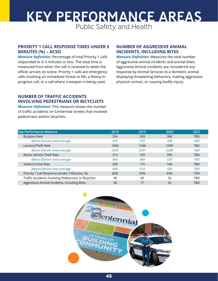## Public Safety and Health KEY PERFORMANCE AREAS

#### **PRIORITY 1 CALL RESPONSE TIMES UNDER 5 MINUTES (%) – ACSO**

*Measure Definition:* Percentage of total Priority 1 calls responded to in 5 minutes or less. The total time is measured from when the call is received to when the officer arrives on-scene. Priority 1 calls are emergency calls involving an immediate threat to life, a felony-inprogress call, or a call where a weapon is being used.

#### **NUMBER OF AGGRESSIVE ANIMAL INCIDENTS, INCLUDING BITES**

*Measure Definition:* Measures the total number of aggressive animal incidents and animal bites. Aggressive Animal Incidents are considered any response by Animal Services to a domestic animal displaying threatening behaviors, making aggressive physical contact, or causing bodily injury.

#### **NUMBER OF TRAFFIC ACCIDENTS INVOLVING PEDESTRIANS OR BICYCLISTS**

*Measure Definition:* This measure shows the number of traffic accidents on Centennial streets that involved pedestrians and/or bicyclists.

| <b>Key Performance Measure</b>                        | 2018 | 2019       | 2020 | 2021       |
|-------------------------------------------------------|------|------------|------|------------|
| <b>Burglary Rate</b>                                  | 254  | 243        | 266  | <b>TBD</b> |
| Metro-Denver area average                             | 439  | <i>370</i> | 428  | <b>TBD</b> |
| Larceny/Theft Rate                                    | 1493 | 1406       | 1509 | <b>TBD</b> |
| Metro-Denver area average                             | 2425 | 2247       | 2288 | TBD        |
| Motor Vehicle Theft Rate                              | 213  | 169        | 295  | <b>TBD</b> |
| Metro-Denver area average                             | 460  | 384        | 539  | <b>TBD</b> |
| Violent Crime Rate                                    | 203  | 175        | 144  | <b>TBD</b> |
| Metro-Denver area average                             | 444  | 414        | 436  | TBD        |
| Priority 1 Call Response (Under 5 Minutes, %)         | 82%  | 63%        | 63%  | 73%        |
| Traffic Accidents Involving Pedestrians or Bicyclists | 39   | 40         | 26   | <b>TBD</b> |
| Aggressive Animal Incidents, Including Bites          | 38   | 77         | 92   | TBD        |

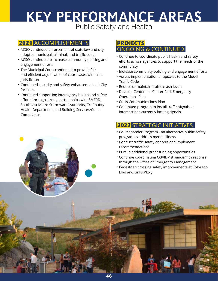## KEY PERFORMANCE AREAS Public Safety and Health

## **2021** ACCOMPLISHMENTS

- ACSO continued enforcement of state law and cityadopted municipal, criminal, and traffic codes
- ACSO continued to increase community policing and engagement efforts
- The Municipal Court continued to provide fair and efficient adjudication of court cases within its jurisdiction
- Continued security and safety enhancements at City facilities
- Continued supporting interagency health and safety efforts through strong partnerships with SMFRD, Southeast Metro Stormwater Authority, Tri-County Health Department, and Building Services/Code Compliance

## PROJECTS<br>ONGOING & CONTINUED

- Continue to coordinate public health and safety efforts across agencies to support the needs of the community
- Increase community policing and engagement efforts
- Assess implementation of updates to the Model Traffic Code
- Reduce or maintain traffic crash levels
- Develop Centennial Center Park Emergency Operations Plan
- Crisis Communications Plan
- Continued program to install traffic signals at intersections currently lacking signals

- Co-Responder Program an alternative public safety program to address mental illness
- Conduct traffic safety analysis and implement recommendations
- Pursue additional grant funding opportunities
- Continue coordinating COVID-19 pandemic response through the Office of Emergency Management
- Pedestrian crossing safety improvements at Colorado Blvd and Links Pkwy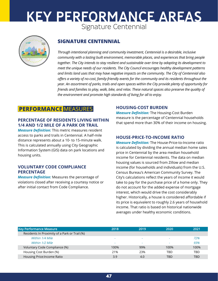## Signature Centennial KEY PERFORMANCE AREAS PERFORMANCE AREAS T



## **SIGNATURE CENTENNIAL SIGNATURE CENTENNIAL**

offers a variety of no-cost, family-frienaly events for the community and its residents throughout the<br>year. An assortment of parks, trails and open spaces within the City provide plenty of opportunity for the environment and promote high standards of living for all to enjoy. Through intentional planning and community investment, Centennial *Through intentional planning and community investment, Centennial is a desirable, inclusive*  community with a lasting built environment, memorable places, and experiences that bring people memorable places, and experiences that bring people together. *together. The City intends to stay resilient and sustainable over time by adapting its development to meet the unique needs of our residents. The City Council encourages healthy development patterns and limits land uses that may have negative impacts on the community. The City of Centennial also offers a variety of no-cost, family-friendly events for the community and its residents throughout the friends and families to play, walk, bike, and relax. These natural spaces also preserve the quality of* 

## **PERFORMANCE MEASURES**

#### **PERCENTAGE OF RESIDENTS LIVING WITHIN 1/4 AND 1/2 MILE OF A PARK OR TRAIL**

*Measure Definition:* This metric measures resident access to parks and trails in Centennial. A half-mile distance represents about a 10- to 15-minute walk. This is calculated annually using City Geographic Information System (GIS) data on park locations and housing units.

#### **VOLUNTARY CODE COMPLIANCE PERCENTAGE**

*Measure Definition:* Measures the percentage of violations closed after receiving a courtesy notice or after initial contact from Code Compliance.

#### **HOUSING-COST BURDEN**

*Measure Definition:* The Housing-Cost Burden **THIN** measure is the percentage of Centennial households<br> **THIN** that spend more than 20% of their income on housing that spend more than 30% of their income on housing.

#### **HOUSE-PRICE-TO-INCOME RATIO**

*Measure Definition:* The House-Price-to-Income ratio is calculated by dividing the annual median home sales price in Centennial by the area median household income for Centennial residents. The data on median housing values is sourced from Zillow and median income (for households and individuals) from the U.S. Census Bureau's American Community Survey. The City's calculations reflect the years of income it would take to pay for the purchase price of a home only. They do not account for the added expense of mortgage interest, which would drive the cost considerably higher. Historically, a house is considered affordable if its price is equivalent to roughly 2.6 years of household income. That ratio is based on historical nationwide averages under healthy economic conditions.

| <b>Key Performance Measure</b>                | 2018                     | 2019                     | 2020 | 2021 |
|-----------------------------------------------|--------------------------|--------------------------|------|------|
| Residents In Proximity of a Park or Trail (%) |                          |                          |      |      |
| Within 1/4 Mile                               | $\overline{\phantom{a}}$ | $\overline{\phantom{a}}$ | -    | 72%  |
| Within 1/2 Mile                               | $\overline{\phantom{a}}$ | $\overline{\phantom{a}}$ | -    | 93%  |
| Voluntary Code Compliance (%)                 | 100%                     | 99%                      | 100% | 100% |
| Housing Cost Burden (%)                       | 21%                      | 23%                      | TBD  | TBD  |
| Housing Price: Income Ratio                   | 3.9                      | 4.0                      | TBD. | TBD  |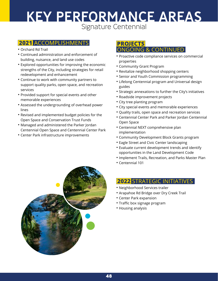## Signature Centennial KEY PERFORMANCE AREAS

## **2021** ACCOMPLISHMENTS

- Orchard Rd Trail
- Continued administration and enforcement of building, nuisance, and land use codes
- Explored opportunities for improving the economic strengths of the City, including strategies for retail redevelopment and enhancement
- Continue to work with community partners to support quality parks, open space, and recreation services
- Provided support for special events and other memorable experiences
- Assessed the undergrounding of overhead power lines
- Revised and implemented budget policies for the Open Space and Conservation Trust Funds
- Managed and administered the Parker Jordan Centennial Open Space and Centennial Center Park
- Center Park infrastructure improvements

# PROJECTS<br>ONGOING & CONTINUED

- Proactive code compliance services on commercial properties
- Community Grant Program
- Revitalize neighborhood shopping centers
- Senior and Youth Commission programming
- Lifelong Centennial program and Universal design guides
- Strategic annexations to further the City's initiatives
- Roadside improvement projects
- City tree planting program
- City special events and memorable experiences
- Quality trails, open space and recreation services
- Centennial Center Park and Parker Jordan Centennial Open Space
- Centennial NEXT comprehensive plan implementation
- Community Development Block Grants program
- Eagle Street and Civic Center landscaping
- Evaluate current development trends and identify opportunities in the Land Development Code
- Implement Trails, Recreation, and Parks Master Plan
- Centennial 101



- Neighborhood Services trailer
- Arapahoe Rd Bridge over Dry Creek Trail
- Center Park expansion
- Traffic box signage program
- Housing analysis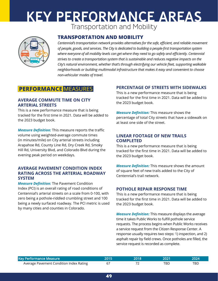## Transportation and Mobility KEY PERFORMANCE AREAS is a region is a lasting a lasting built with a lasting built environment. In the community with a lasting built environment, and it is a last of the community of the community of the community of the community of the comm



#### **TRANSPORTATION AND MOBILITY**

Centennial's transportation network provides alternatives for the safe, efficient, and reliable movement **CRANS** where everyone of all mobility levels can get where they need to go safely and efficiently. Centennial *where everyone of all mobility levels can get where they need to go safely and efficiently. Centennial and reduces hea* efficient, and reliable movement of people, goods, and services. *City's natural environment, whether that's through electrifying our vehicle fleet, supporting walkable of people, goods, and services. The City is dedicated to building a people-first transportation system strives to create a transportation system that is sustainable and reduces negative impacts on the neighborhoods or building multimodal infrastructure that makes it easy and convenient to choose non-vehicular modes of travel.*

### **PERFORMANCE MEASURES**

#### **AVERAGE COMMUTE TIME ON CITY ARTERIAL STREETS**

This is a new performance measure that is being tracked for the first time in 2021. Data will be added to the 2023 budget book.

*Measure Definition:* This measure reports the traffic volume using weighted-average commute times (in minutes/mile) on City arterial streets including Arapahoe Rd, County Line Rd, Dry Creek Rd, Smoky Hill Rd, University Blvd, and Colorado Blvd during the evening peak period on weekdays.

#### **AVERAGE PAVEMENT CONDITION INDEX RATING ACROSS THE ARTERIAL ROADWAY SYSTEM**

*Measure Definition:* The Pavement Condition Index (PCI) is an overall rating of road conditions of Centennial's arterial streets on a scale from 0-100, with zero being a pothole-riddled crumbling street and 100 being a newly surfaced roadway. The PCI metric is used by many cities and counties in Colorado.

#### **PERCENTAGE OF STREETS WITH SIDEWALKS**

This is a new performance measure that is being tracked for the first time in 2021. Data will be added to the 2023 budget book.

*Measure Definition:* This measure shows the percentage of total City streets that have a sidewalk on at least one side of the street.

#### **LINEAR FOOTAGE OF NEW TRAILS COMPLETED**

This is a new performance measure that is being tracked for the first time in 2021. Data will be added to the 2023 budget book.

*Measure Definition:* This measure shows the amount of square feet of new trails added to the City of Centennial's trail network.

#### **POTHOLE REPAIR RESPONSE TIME**

This is a new performance measure that is being tracked for the first time in 2021. Data will be added to the 2023 budget book.

*Measure Definition:* This measure displays the average time it takes Public Works to fulfill pothole service requests. The process begins when Public Works receives a service request from the Citizen Response Center. A response usually requires two steps: 1) inspection, and 2) asphalt repair by field crews. Once potholes are filled, the service request is recorded as complete.

| Key Performance Measure                 | 2015 | 2018. | - 2021 |  |
|-----------------------------------------|------|-------|--------|--|
| Average Pavement Condition Index Rating |      |       | TBD.   |  |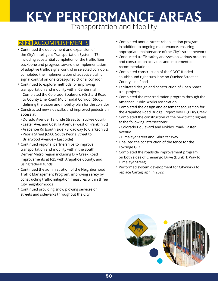## KEY PERFORMANCE AREAS Transportation and Mobility

### **2021** ACCOMPLISHMENTS

- Continued the deployment and expansion of the City's Intelligent Transportation System (ITS), including substantial completion of the traffic fiber backbone and progress toward the implementation of adaptive traffic signal control in selected corridors; completed the implementation of adaptive traffic signal control on one cross-jurisdictional corridor
- Continued to explore methods for improving transportation and mobility within Centennial
	- Completed the Colorado Boulevard (Orchard Road to County Line Road) Multimodal Corridor Study, defining the vision and mobility plan for the corridor
- Constructed new sidewalks and improved pedestrian access at:
	- Dorado Avenue (Telluride Street to Truckee Court)
	- Easter Ave. and Costilla Avenue (west of Franklin St)
	- Arapahoe Rd (south side) (Broadway to Clarkson St)
	- Peoria Street (6900 South Peoria Street to Briarwood Avenue – East Side)
- Continued regional partnerships to improve transportation and mobility within the South Denver Metro region including Dry Creek Road Improvements at I-25 with Arapahoe County, and using federal funds
- Continued the administration of the Neighborhood Traffic Management Program, improving safety by constructing traffic mitigation measures within three City neighborhoods
- Continued providing snow plowing services on streets and sidewalks throughout the City
- Completed annual street rehabilitation program in addition to ongoing maintenance, ensuring appropriate maintenance of the City's street network
- Conducted traffic safety analyses on various projects and construction activities and implemented recommendations
- Completed construction of the CDOT-funded southbound right turn lane on Quebec Street at County Line Road
- Facilitated design and construction of Open Space trail projects
- Completed the reaccreditation program through the American Public Works Association
- Completed the design and easement acquisition for the Arapahoe Road Bridge Project over Big Dry Creek
- Completed the construction of the new traffic signals at the following intersections:
	- Colorado Boulevard and Nobles Road/ Easter Avenue
	- Himalaya Street and Gibraltar Way
- Finalized the construction of the fence for the Foxridge GID
- Completed the roadside improvement program on both sides of Chenango Drive (Dunkirk Way to Himalaya Street)
- Performed system development for Cityworks to replace Cartegraph in 2022